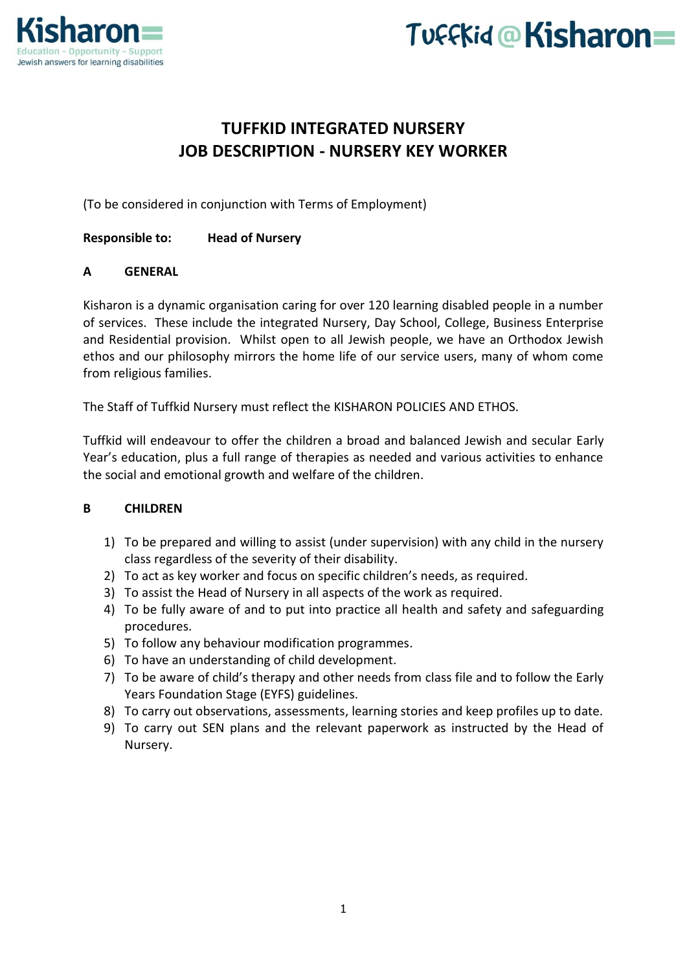

# Tuffkid@Kisharon=

# **TUFFKID INTEGRATED NURSERY JOB DESCRIPTION - NURSERY KEY WORKER**

(To be considered in conjunction with Terms of Employment)

**Responsible to: Head of Nursery**

## **A GENERAL**

Kisharon is a dynamic organisation caring for over 120 learning disabled people in a number of services. These include the integrated Nursery, Day School, College, Business Enterprise and Residential provision. Whilst open to all Jewish people, we have an Orthodox Jewish ethos and our philosophy mirrors the home life of our service users, many of whom come from religious families.

The Staff of Tuffkid Nursery must reflect the KISHARON POLICIES AND ETHOS.

Tuffkid will endeavour to offer the children a broad and balanced Jewish and secular Early Year's education, plus a full range of therapies as needed and various activities to enhance the social and emotional growth and welfare of the children.

#### **B CHILDREN**

- 1) To be prepared and willing to assist (under supervision) with any child in the nursery class regardless of the severity of their disability.
- 2) To act as key worker and focus on specific children's needs, as required.
- 3) To assist the Head of Nursery in all aspects of the work as required.
- 4) To be fully aware of and to put into practice all health and safety and safeguarding procedures.
- 5) To follow any behaviour modification programmes.
- 6) To have an understanding of child development.
- 7) To be aware of child's therapy and other needs from class file and to follow the Early Years Foundation Stage (EYFS) guidelines.
- 8) To carry out observations, assessments, learning stories and keep profiles up to date.
- 9) To carry out SEN plans and the relevant paperwork as instructed by the Head of Nursery.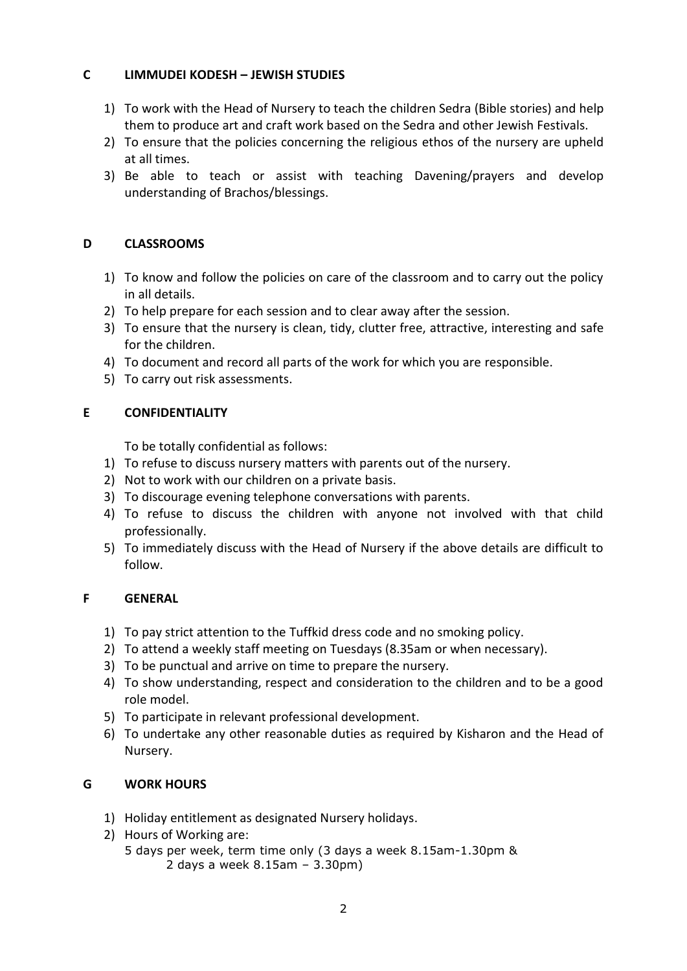## **C LIMMUDEI KODESH – JEWISH STUDIES**

- 1) To work with the Head of Nursery to teach the children Sedra (Bible stories) and help them to produce art and craft work based on the Sedra and other Jewish Festivals.
- 2) To ensure that the policies concerning the religious ethos of the nursery are upheld at all times.
- 3) Be able to teach or assist with teaching Davening/prayers and develop understanding of Brachos/blessings.

# **D CLASSROOMS**

- 1) To know and follow the policies on care of the classroom and to carry out the policy in all details.
- 2) To help prepare for each session and to clear away after the session.
- 3) To ensure that the nursery is clean, tidy, clutter free, attractive, interesting and safe for the children.
- 4) To document and record all parts of the work for which you are responsible.
- 5) To carry out risk assessments.

## **E CONFIDENTIALITY**

To be totally confidential as follows:

- 1) To refuse to discuss nursery matters with parents out of the nursery.
- 2) Not to work with our children on a private basis.
- 3) To discourage evening telephone conversations with parents.
- 4) To refuse to discuss the children with anyone not involved with that child professionally.
- 5) To immediately discuss with the Head of Nursery if the above details are difficult to follow.

## **F GENERAL**

- 1) To pay strict attention to the Tuffkid dress code and no smoking policy.
- 2) To attend a weekly staff meeting on Tuesdays (8.35am or when necessary).
- 3) To be punctual and arrive on time to prepare the nursery.
- 4) To show understanding, respect and consideration to the children and to be a good role model.
- 5) To participate in relevant professional development.
- 6) To undertake any other reasonable duties as required by Kisharon and the Head of Nursery.

# **G WORK HOURS**

- 1) Holiday entitlement as designated Nursery holidays.
- 2) Hours of Working are:
	- 5 days per week, term time only (3 days a week 8.15am-1.30pm & 2 days a week 8.15am – 3.30pm)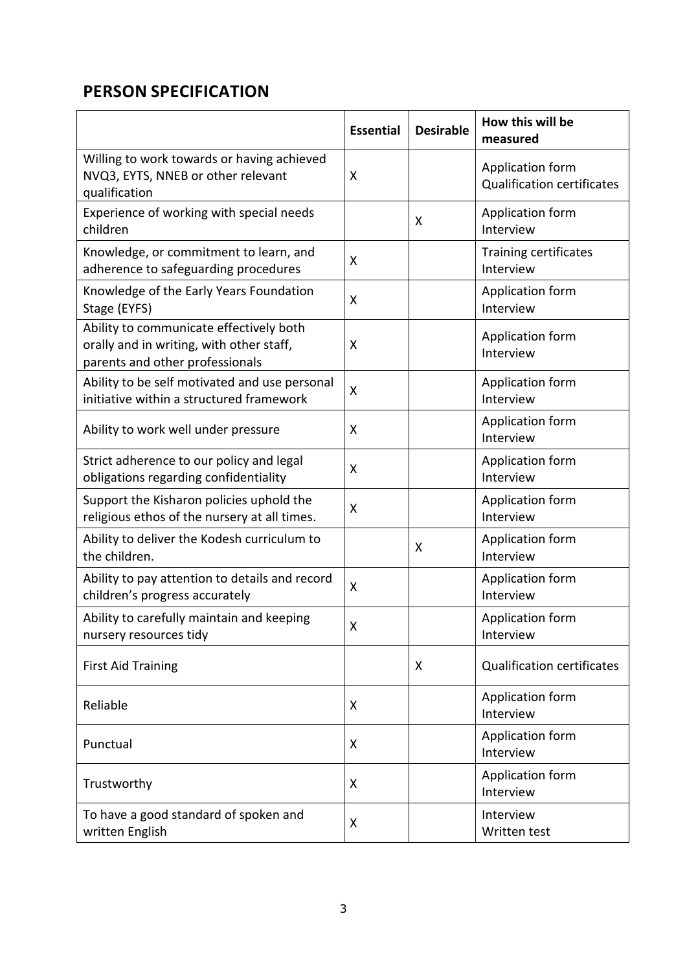# **PERSON SPECIFICATION**

|                                                                                                                        | <b>Essential</b> | <b>Desirable</b> | How this will be<br>measured                          |
|------------------------------------------------------------------------------------------------------------------------|------------------|------------------|-------------------------------------------------------|
| Willing to work towards or having achieved<br>NVQ3, EYTS, NNEB or other relevant<br>qualification                      | X                |                  | Application form<br><b>Qualification certificates</b> |
| Experience of working with special needs<br>children                                                                   |                  | X                | Application form<br>Interview                         |
| Knowledge, or commitment to learn, and<br>adherence to safeguarding procedures                                         | X                |                  | Training certificates<br>Interview                    |
| Knowledge of the Early Years Foundation<br>Stage (EYFS)                                                                | X                |                  | Application form<br>Interview                         |
| Ability to communicate effectively both<br>orally and in writing, with other staff,<br>parents and other professionals | X                |                  | Application form<br>Interview                         |
| Ability to be self motivated and use personal<br>initiative within a structured framework                              | X                |                  | Application form<br>Interview                         |
| Ability to work well under pressure                                                                                    | X                |                  | Application form<br>Interview                         |
| Strict adherence to our policy and legal<br>obligations regarding confidentiality                                      | X                |                  | Application form<br>Interview                         |
| Support the Kisharon policies uphold the<br>religious ethos of the nursery at all times.                               | X                |                  | Application form<br>Interview                         |
| Ability to deliver the Kodesh curriculum to<br>the children.                                                           |                  | X                | Application form<br>Interview                         |
| Ability to pay attention to details and record<br>children's progress accurately                                       | X                |                  | Application form<br>Interview                         |
| Ability to carefully maintain and keeping<br>nursery resources tidy                                                    | Χ                |                  | Application form<br>Interview                         |
| <b>First Aid Training</b>                                                                                              |                  | X                | <b>Qualification certificates</b>                     |
| Reliable                                                                                                               | X                |                  | Application form<br>Interview                         |
| Punctual                                                                                                               | X                |                  | Application form<br>Interview                         |
| Trustworthy                                                                                                            | X                |                  | Application form<br>Interview                         |
| To have a good standard of spoken and<br>written English                                                               | X                |                  | Interview<br>Written test                             |